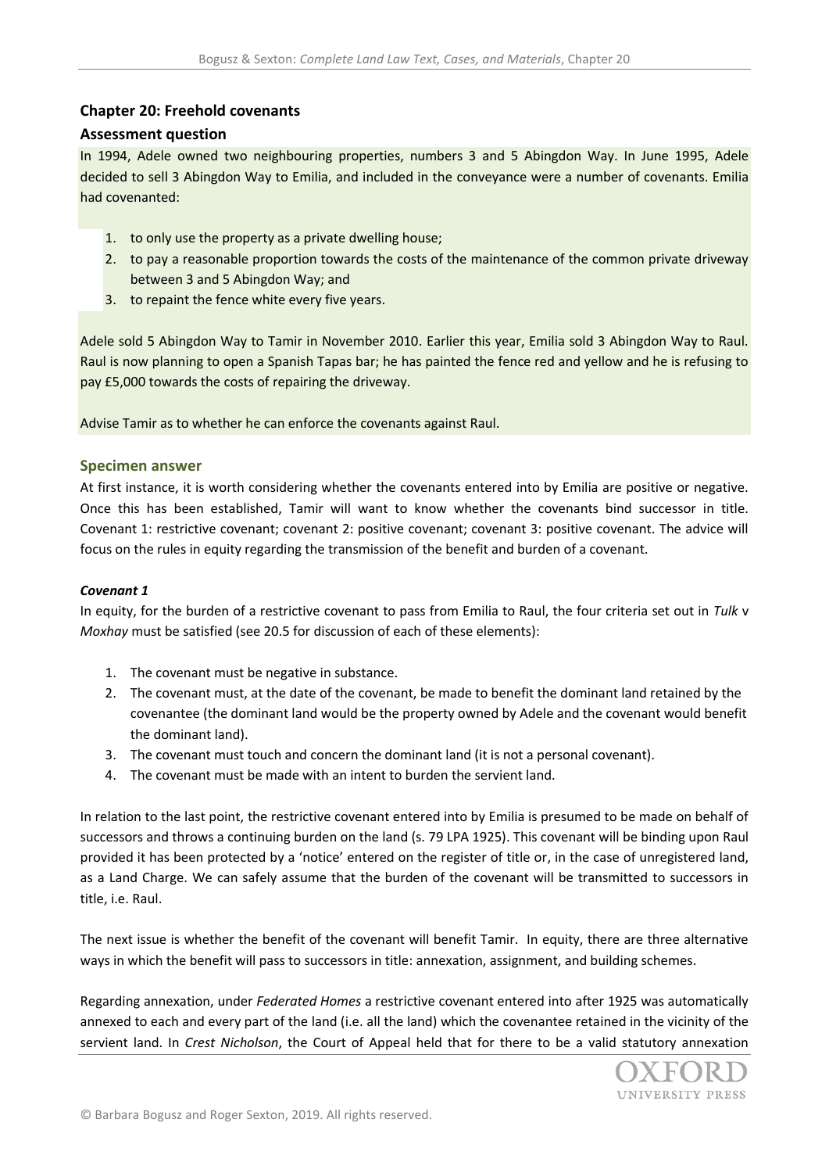# **Chapter 20: Freehold covenants**

## **Assessment question**

In 1994, Adele owned two neighbouring properties, numbers 3 and 5 Abingdon Way. In June 1995, Adele decided to sell 3 Abingdon Way to Emilia, and included in the conveyance were a number of covenants. Emilia had covenanted:

- 1. to only use the property as a private dwelling house;
- 2. to pay a reasonable proportion towards the costs of the maintenance of the common private driveway between 3 and 5 Abingdon Way; and
- 3. to repaint the fence white every five years.

Adele sold 5 Abingdon Way to Tamir in November 2010. Earlier this year, Emilia sold 3 Abingdon Way to Raul. Raul is now planning to open a Spanish Tapas bar; he has painted the fence red and yellow and he is refusing to pay £5,000 towards the costs of repairing the driveway.

Advise Tamir as to whether he can enforce the covenants against Raul.

## **Specimen answer**

At first instance, it is worth considering whether the covenants entered into by Emilia are positive or negative. Once this has been established, Tamir will want to know whether the covenants bind successor in title. Covenant 1: restrictive covenant; covenant 2: positive covenant; covenant 3: positive covenant. The advice will focus on the rules in equity regarding the transmission of the benefit and burden of a covenant.

#### *Covenant 1*

In equity, for the burden of a restrictive covenant to pass from Emilia to Raul, the four criteria set out in *Tulk* v *Moxhay* must be satisfied (see 20.5 for discussion of each of these elements):

- 1. The covenant must be negative in substance.
- 2. The covenant must, at the date of the covenant, be made to benefit the dominant land retained by the covenantee (the dominant land would be the property owned by Adele and the covenant would benefit the dominant land).
- 3. The covenant must touch and concern the dominant land (it is not a personal covenant).
- 4. The covenant must be made with an intent to burden the servient land.

In relation to the last point, the restrictive covenant entered into by Emilia is presumed to be made on behalf of successors and throws a continuing burden on the land (s. 79 LPA 1925). This covenant will be binding upon Raul provided it has been protected by a 'notice' entered on the register of title or, in the case of unregistered land, as a Land Charge. We can safely assume that the burden of the covenant will be transmitted to successors in title, i.e. Raul.

The next issue is whether the benefit of the covenant will benefit Tamir. In equity, there are three alternative ways in which the benefit will pass to successors in title: annexation, assignment, and building schemes.

Regarding annexation, under *Federated Homes* a restrictive covenant entered into after 1925 was automatically annexed to each and every part of the land (i.e. all the land) which the covenantee retained in the vicinity of the servient land. In *Crest Nicholson*, the Court of Appeal held that for there to be a valid statutory annexation